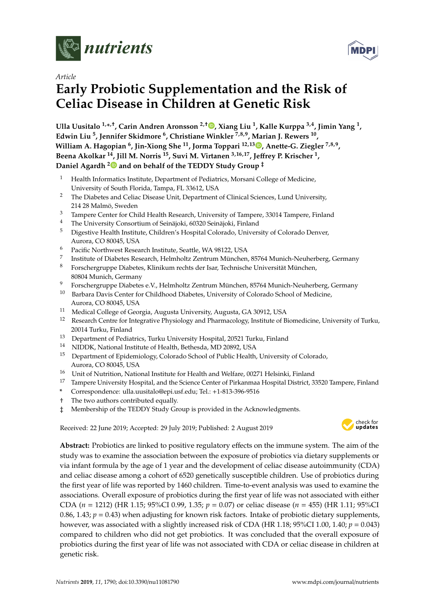

*Article*

# **Early Probiotic Supplementation and the Risk of Celiac Disease in Children at Genetic Risk**

**Ulla Uusitalo 1,\* ,**† **, Carin Andren Aronsson 2,**† **[,](https://orcid.org/0000-0003-0256-9367) Xiang Liu <sup>1</sup> , Kalle Kurppa 3,4, Jimin Yang <sup>1</sup> , Edwin Liu <sup>5</sup> , Jennifer Skidmore <sup>6</sup> , Christiane Winkler 7,8,9, Marian J. Rewers <sup>10</sup> , William A. Hagopian <sup>6</sup> , Jin-Xiong She <sup>11</sup>, Jorma Toppari 12,13 [,](https://orcid.org/0000-0003-2228-334X) Anette-G. Ziegler 7,8,9 , Beena Akolkar <sup>14</sup>, Jill M. Norris <sup>15</sup>, Suvi M. Virtanen 3,16,17, Je**ff**rey P. Krischer <sup>1</sup> , Daniel Agardh [2](https://orcid.org/0000-0003-1435-1234) and on behalf of the TEDDY Study Group** ‡

- <sup>1</sup> Health Informatics Institute, Department of Pediatrics, Morsani College of Medicine, University of South Florida, Tampa, FL 33612, USA
- <sup>2</sup> The Diabetes and Celiac Disease Unit, Department of Clinical Sciences, Lund University, 214 28 Malmö, Sweden
- <sup>3</sup> Tampere Center for Child Health Research, University of Tampere, 33014 Tampere, Finland<br><sup>4</sup> The University Conceptions of Ceinëialii (2020 Seinëialii Finland
- <sup>4</sup> The University Consortium of Seinäjoki, 60320 Seinäjoki, Finland
- <sup>5</sup> Digestive Health Institute, Children's Hospital Colorado, University of Colorado Denver, Aurora, CO 80045, USA
- <sup>6</sup> Pacific Northwest Research Institute, Seattle, WA 98122, USA
- 7 Institute of Diabetes Research, Helmholtz Zentrum München, 85764 Munich-Neuherberg, Germany
- <sup>8</sup> Forschergruppe Diabetes, Klinikum rechts der Isar, Technische Universität München, 80804 Munich, Germany
- <sup>9</sup> Forschergruppe Diabetes e.V., Helmholtz Zentrum München, 85764 Munich-Neuherberg, Germany
- <sup>10</sup> Barbara Davis Center for Childhood Diabetes, University of Colorado School of Medicine, Aurora, CO 80045, USA
- <sup>11</sup> Medical College of Georgia, Augusta University, Augusta, GA 30912, USA
- <sup>12</sup> Research Centre for Integrative Physiology and Pharmacology, Institute of Biomedicine, University of Turku, 20014 Turku, Finland
- <sup>13</sup> Department of Pediatrics, Turku University Hospital, 20521 Turku, Finland
- <sup>14</sup> NIDDK, National Institute of Health, Bethesda, MD 20892, USA
- <sup>15</sup> Department of Epidemiology, Colorado School of Public Health, University of Colorado, Aurora, CO 80045, USA
- $^{16}\;$  Unit of Nutrition, National Institute for Health and Welfare, 00271 Helsinki, Finland
- <sup>17</sup> Tampere University Hospital, and the Science Center of Pirkanmaa Hospital District, 33520 Tampere, Finland
- **\*** Correspondence: ulla.uusitalo@epi.usf.edu; Tel.: +1-813-396-9516
- † The two authors contributed equally.
- ‡ Membership of the TEDDY Study Group is provided in the Acknowledgments.

Received: 22 June 2019; Accepted: 29 July 2019; Published: 2 August 2019



**Abstract:** Probiotics are linked to positive regulatory effects on the immune system. The aim of the study was to examine the association between the exposure of probiotics via dietary supplements or via infant formula by the age of 1 year and the development of celiac disease autoimmunity (CDA) and celiac disease among a cohort of 6520 genetically susceptible children. Use of probiotics during the first year of life was reported by 1460 children. Time-to-event analysis was used to examine the associations. Overall exposure of probiotics during the first year of life was not associated with either CDA (*n* = 1212) (HR 1.15; 95%CI 0.99, 1.35; *p* = 0.07) or celiac disease (*n* = 455) (HR 1.11; 95%CI 0.86, 1.43;  $p = 0.43$ ) when adjusting for known risk factors. Intake of probiotic dietary supplements, however, was associated with a slightly increased risk of CDA (HR 1.18; 95%CI 1.00, 1.40; *p* = 0.043) compared to children who did not get probiotics. It was concluded that the overall exposure of probiotics during the first year of life was not associated with CDA or celiac disease in children at genetic risk.

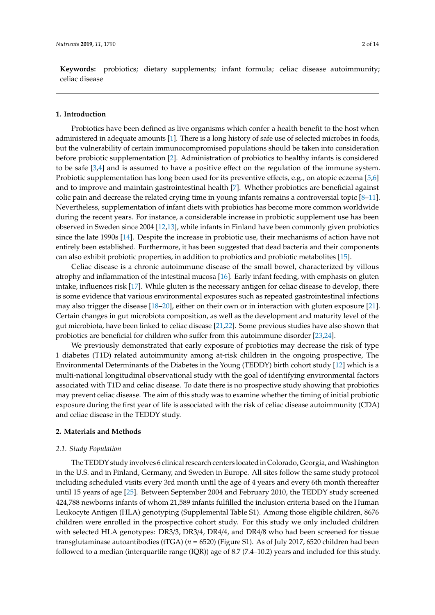**Keywords:** probiotics; dietary supplements; infant formula; celiac disease autoimmunity; celiac disease

#### **1. Introduction**

Probiotics have been defined as live organisms which confer a health benefit to the host when administered in adequate amounts [\[1\]](#page-11-0). There is a long history of safe use of selected microbes in foods, but the vulnerability of certain immunocompromised populations should be taken into consideration before probiotic supplementation [\[2\]](#page-11-1). Administration of probiotics to healthy infants is considered to be safe [\[3,](#page-11-2)[4\]](#page-11-3) and is assumed to have a positive effect on the regulation of the immune system. Probiotic supplementation has long been used for its preventive effects, e.g., on atopic eczema [\[5](#page-11-4)[,6\]](#page-11-5) and to improve and maintain gastrointestinal health [\[7\]](#page-11-6). Whether probiotics are beneficial against colic pain and decrease the related crying time in young infants remains a controversial topic [\[8–](#page-11-7)[11\]](#page-11-8). Nevertheless, supplementation of infant diets with probiotics has become more common worldwide during the recent years. For instance, a considerable increase in probiotic supplement use has been observed in Sweden since 2004 [\[12,](#page-11-9)[13\]](#page-12-0), while infants in Finland have been commonly given probiotics since the late 1990s [\[14\]](#page-12-1). Despite the increase in probiotic use, their mechanisms of action have not entirely been established. Furthermore, it has been suggested that dead bacteria and their components can also exhibit probiotic properties, in addition to probiotics and probiotic metabolites [\[15\]](#page-12-2).

Celiac disease is a chronic autoimmune disease of the small bowel, characterized by villous atrophy and inflammation of the intestinal mucosa [\[16\]](#page-12-3). Early infant feeding, with emphasis on gluten intake, influences risk [\[17\]](#page-12-4). While gluten is the necessary antigen for celiac disease to develop, there is some evidence that various environmental exposures such as repeated gastrointestinal infections may also trigger the disease [\[18](#page-12-5)[–20\]](#page-12-6), either on their own or in interaction with gluten exposure [\[21\]](#page-12-7). Certain changes in gut microbiota composition, as well as the development and maturity level of the gut microbiota, have been linked to celiac disease [\[21,](#page-12-7)[22\]](#page-12-8). Some previous studies have also shown that probiotics are beneficial for children who suffer from this autoimmune disorder [\[23](#page-12-9)[,24\]](#page-12-10).

We previously demonstrated that early exposure of probiotics may decrease the risk of type 1 diabetes (T1D) related autoimmunity among at-risk children in the ongoing prospective, The Environmental Determinants of the Diabetes in the Young (TEDDY) birth cohort study [\[12\]](#page-11-9) which is a multi-national longitudinal observational study with the goal of identifying environmental factors associated with T1D and celiac disease. To date there is no prospective study showing that probiotics may prevent celiac disease. The aim of this study was to examine whether the timing of initial probiotic exposure during the first year of life is associated with the risk of celiac disease autoimmunity (CDA) and celiac disease in the TEDDY study.

#### **2. Materials and Methods**

#### *2.1. Study Population*

The TEDDY study involves 6 clinical research centers located in Colorado, Georgia, and Washington in the U.S. and in Finland, Germany, and Sweden in Europe. All sites follow the same study protocol including scheduled visits every 3rd month until the age of 4 years and every 6th month thereafter until 15 years of age [\[25\]](#page-12-11). Between September 2004 and February 2010, the TEDDY study screened 424,788 newborns infants of whom 21,589 infants fulfilled the inclusion criteria based on the Human Leukocyte Antigen (HLA) genotyping (Supplemental Table S1). Among those eligible children, 8676 children were enrolled in the prospective cohort study. For this study we only included children with selected HLA genotypes: DR3/3, DR3/4, DR4/4, and DR4/8 who had been screened for tissue transglutaminase autoantibodies (tTGA) (*n* = 6520) (Figure S1). As of July 2017, 6520 children had been followed to a median (interquartile range (IQR)) age of 8.7 (7.4–10.2) years and included for this study.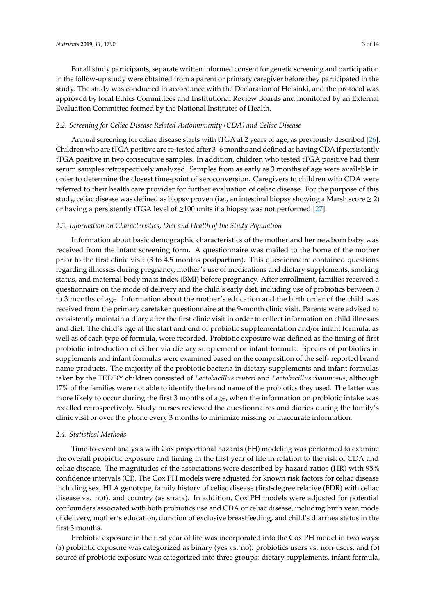For all study participants, separate written informed consent for genetic screening and participation in the follow-up study were obtained from a parent or primary caregiver before they participated in the study. The study was conducted in accordance with the Declaration of Helsinki, and the protocol was

# *2.2. Screening for Celiac Disease Related Autoimmunity (CDA) and Celiac Disease*

Evaluation Committee formed by the National Institutes of Health.

Annual screening for celiac disease starts with tTGA at 2 years of age, as previously described [\[26\]](#page-12-12). Children who are tTGA positive are re-tested after 3–6 months and defined as having CDA if persistently tTGA positive in two consecutive samples. In addition, children who tested tTGA positive had their serum samples retrospectively analyzed. Samples from as early as 3 months of age were available in order to determine the closest time-point of seroconversion. Caregivers to children with CDA were referred to their health care provider for further evaluation of celiac disease. For the purpose of this study, celiac disease was defined as biopsy proven (i.e., an intestinal biopsy showing a Marsh score  $\geq 2$ ) or having a persistently tTGA level of  $\geq$ 100 units if a biopsy was not performed [\[27\]](#page-12-13).

approved by local Ethics Committees and Institutional Review Boards and monitored by an External

## *2.3. Information on Characteristics, Diet and Health of the Study Population*

Information about basic demographic characteristics of the mother and her newborn baby was received from the infant screening form. A questionnaire was mailed to the home of the mother prior to the first clinic visit (3 to 4.5 months postpartum). This questionnaire contained questions regarding illnesses during pregnancy, mother's use of medications and dietary supplements, smoking status, and maternal body mass index (BMI) before pregnancy. After enrollment, families received a questionnaire on the mode of delivery and the child's early diet, including use of probiotics between 0 to 3 months of age. Information about the mother's education and the birth order of the child was received from the primary caretaker questionnaire at the 9-month clinic visit. Parents were advised to consistently maintain a diary after the first clinic visit in order to collect information on child illnesses and diet. The child's age at the start and end of probiotic supplementation and/or infant formula, as well as of each type of formula, were recorded. Probiotic exposure was defined as the timing of first probiotic introduction of either via dietary supplement or infant formula. Species of probiotics in supplements and infant formulas were examined based on the composition of the self- reported brand name products. The majority of the probiotic bacteria in dietary supplements and infant formulas taken by the TEDDY children consisted of *Lactobacillus reuteri* and *Lactobacillus rhamnosus*, although 17% of the families were not able to identify the brand name of the probiotics they used. The latter was more likely to occur during the first 3 months of age, when the information on probiotic intake was recalled retrospectively. Study nurses reviewed the questionnaires and diaries during the family's clinic visit or over the phone every 3 months to minimize missing or inaccurate information.

#### *2.4. Statistical Methods*

Time-to-event analysis with Cox proportional hazards (PH) modeling was performed to examine the overall probiotic exposure and timing in the first year of life in relation to the risk of CDA and celiac disease. The magnitudes of the associations were described by hazard ratios (HR) with 95% confidence intervals (CI). The Cox PH models were adjusted for known risk factors for celiac disease including sex, HLA genotype, family history of celiac disease (first-degree relative (FDR) with celiac disease vs. not), and country (as strata). In addition, Cox PH models were adjusted for potential confounders associated with both probiotics use and CDA or celiac disease, including birth year, mode of delivery, mother's education, duration of exclusive breastfeeding, and child's diarrhea status in the first 3 months.

Probiotic exposure in the first year of life was incorporated into the Cox PH model in two ways: (a) probiotic exposure was categorized as binary (yes vs. no): probiotics users vs. non-users, and (b) source of probiotic exposure was categorized into three groups: dietary supplements, infant formula,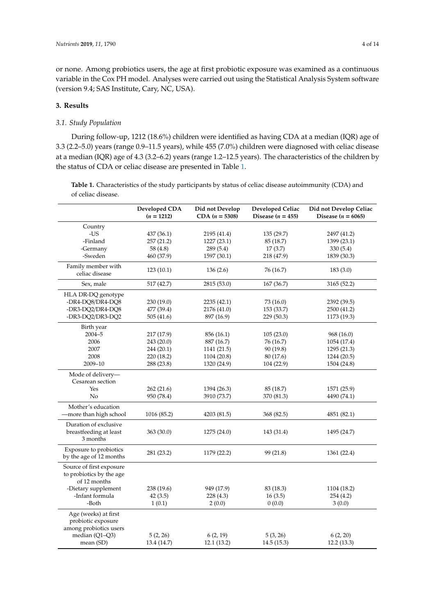or none. Among probiotics users, the age at first probiotic exposure was examined as a continuous variable in the Cox PH model. Analyses were carried out using the Statistical Analysis System software (version 9.4; SAS Institute, Cary, NC, USA).

#### **3. Results**

#### *3.1. Study Population*

During follow-up, 1212 (18.6%) children were identified as having CDA at a median (IQR) age of 3.3 (2.2–5.0) years (range 0.9–11.5 years), while 455 (7.0%) children were diagnosed with celiac disease at a median (IQR) age of 4.3 (3.2–6.2) years (range 1.2–12.5 years). The characteristics of the children by the status of CDA or celiac disease are presented in Table [1.](#page-4-0)

**Table 1.** Characteristics of the study participants by status of celiac disease autoimmunity (CDA) and of celiac disease.

|                                                                      | Developed CDA<br>$(n = 1212)$ | Did not Develop<br>$CDA (n = 5308)$ | <b>Developed Celiac</b><br>Disease $(n = 455)$ | Did not Develop Celiac<br>Disease ( $n = 6065$ ) |  |
|----------------------------------------------------------------------|-------------------------------|-------------------------------------|------------------------------------------------|--------------------------------------------------|--|
| Country                                                              |                               |                                     |                                                |                                                  |  |
| $-US$                                                                | 437 (36.1)                    | 2195 (41.4)                         | 135 (29.7)                                     | 2497 (41.2)                                      |  |
| -Finland                                                             | 257 (21.2)                    | 1227 (23.1)                         | 85 (18.7)                                      | 1399 (23.1)                                      |  |
| -Germany                                                             | 58 (4.8)                      | 289 (5.4)                           | 17(3.7)                                        | 330 (5.4)                                        |  |
| -Sweden                                                              | 460 (37.9)                    | 1597 (30.1)                         | 218 (47.9)                                     | 1839 (30.3)                                      |  |
| Family member with<br>celiac disease                                 | 123 (10.1)                    | 136(2.6)                            | 76 (16.7)                                      | 183(3.0)                                         |  |
| Sex, male                                                            | 517 (42.7)                    | 2815 (53.0)                         | 167(36.7)                                      | 3165 (52.2)                                      |  |
| HLA DR-DQ genotype                                                   |                               |                                     |                                                |                                                  |  |
| -DR4-DQ8/DR4-DQ8                                                     | 230 (19.0)                    | 2235 (42.1)                         | 73 (16.0)                                      | 2392 (39.5)                                      |  |
| -DR3-DQ2/DR4-DQ8                                                     | 477 (39.4)                    | 2176 (41.0)                         | 153 (33.7)                                     | 2500 (41.2)                                      |  |
| -DR3-DQ2/DR3-DQ2                                                     | 505 (41.6)                    | 897 (16.9)                          | 229 (50.3)                                     | 1173 (19.3)                                      |  |
| Birth year                                                           |                               |                                     |                                                |                                                  |  |
| $2004 - 5$                                                           | 217 (17.9)                    | 856 (16.1)                          | 105(23.0)                                      | 968 (16.0)                                       |  |
| 2006                                                                 | 243 (20.0)                    | 887 (16.7)                          | 76 (16.7)                                      | 1054 (17.4)                                      |  |
| 2007                                                                 | 244 (20.1)                    | 1141 (21.5)                         | 90 (19.8)                                      | 1295 (21.3)                                      |  |
| 2008                                                                 | 220 (18.2)                    | 1104 (20.8)                         | 80 (17.6)                                      | 1244 (20.5)                                      |  |
| 2009-10                                                              | 288 (23.8)                    | 1320 (24.9)                         | 104 (22.9)                                     | 1504 (24.8)                                      |  |
| Mode of delivery-<br>Cesarean section                                |                               |                                     |                                                |                                                  |  |
| Yes                                                                  | 262 (21.6)                    | 1394 (26.3)                         | 85 (18.7)                                      | 1571 (25.9)                                      |  |
| No                                                                   | 950 (78.4)                    | 3910 (73.7)                         | 370 (81.3)                                     | 4490 (74.1)                                      |  |
| Mother's education<br>-more than high school                         | 1016 (85.2)                   | 4203 (81.5)                         | 368 (82.5)                                     | 4851 (82.1)                                      |  |
| Duration of exclusive<br>breastfeeding at least<br>3 months          | 363 (30.0)                    | 1275 (24.0)                         | 143 (31.4)                                     | 1495 (24.7)                                      |  |
| Exposure to probiotics<br>by the age of 12 months                    | 281 (23.2)                    | 1179 (22.2)                         | 99 (21.8)                                      | 1361(22.4)                                       |  |
| Source of first exposure<br>to probiotics by the age<br>of 12 months |                               |                                     |                                                |                                                  |  |
| -Dietary supplement                                                  | 238 (19.6)                    | 949 (17.9)                          | 83 (18.3)                                      | 1104 (18.2)                                      |  |
| -Infant formula                                                      | 42(3.5)                       | 228(4.3)                            | 16(3.5)                                        | 254 (4.2)                                        |  |
| -Both                                                                | 1(0.1)                        | 2(0.0)                              | 0(0.0)                                         | 3(0.0)                                           |  |
| Age (weeks) at first<br>probiotic exposure<br>among probiotics users |                               |                                     |                                                |                                                  |  |
| median (Q1-Q3)                                                       | 5(2, 26)                      | 6(2, 19)                            | 5(3, 26)                                       | 6(2, 20)                                         |  |
| mean (SD)                                                            | 13.4 (14.7)                   | 12.1 (13.2)                         | 14.5(15.3)                                     | 12.2(13.3)                                       |  |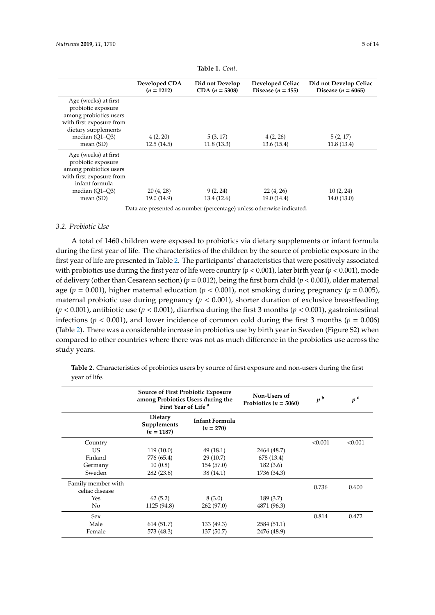<span id="page-4-0"></span>

|                                                                                                                                                          | Developed CDA<br>$(n = 1212)$ | Did not Develop<br>$CDA (n = 5308)$ | Developed Celiac<br>Disease $(n = 455)$ | Did not Develop Celiac<br>Disease $(n = 6065)$ |
|----------------------------------------------------------------------------------------------------------------------------------------------------------|-------------------------------|-------------------------------------|-----------------------------------------|------------------------------------------------|
| Age (weeks) at first<br>probiotic exposure<br>among probiotics users<br>with first exposure from<br>dietary supplements<br>median $(O1-O3)$<br>mean (SD) | 4(2, 20)<br>12.5(14.5)        | 5(3, 17)<br>11.8(13.3)              | 4(2, 26)<br>13.6(15.4)                  | 5(2, 17)<br>11.8(13.4)                         |
| Age (weeks) at first<br>probiotic exposure<br>among probiotics users<br>with first exposure from<br>infant formula<br>median $(Q1-Q3)$<br>mean $(SD)$    | 20(4, 28)<br>19.0 (14.9)      | 9(2, 24)<br>13.4(12.6)              | 22(4, 26)<br>19.0(14.4)                 | 10(2, 24)<br>14.0(13.0)                        |

**Table 1.** *Cont.*

Data are presented as number (percentage) unless otherwise indicated.

## *3.2. Probiotic Use*

A total of 1460 children were exposed to probiotics via dietary supplements or infant formula during the first year of life. The characteristics of the children by the source of probiotic exposure in the first year of life are presented in Table [2.](#page-6-0) The participants' characteristics that were positively associated with probiotics use during the first year of life were country (*p* < 0.001), later birth year (*p* < 0.001), mode of delivery (other than Cesarean section) (*p* = 0.012), being the first born child (*p* < 0.001), older maternal age ( $p = 0.001$ ), higher maternal education ( $p < 0.001$ ), not smoking during pregnancy ( $p = 0.005$ ), maternal probiotic use during pregnancy  $(p < 0.001)$ , shorter duration of exclusive breastfeeding  $(p < 0.001)$ , antibiotic use  $(p < 0.001)$ , diarrhea during the first 3 months  $(p < 0.001)$ , gastrointestinal infections ( $p < 0.001$ ), and lower incidence of common cold during the first 3 months ( $p = 0.006$ ) (Table [2\)](#page-6-0). There was a considerable increase in probiotics use by birth year in Sweden (Figure S2) when compared to other countries where there was not as much difference in the probiotics use across the study years.

|                                      | <b>Source of First Probiotic Exposure</b><br>among Probiotics Users during the<br>First Year of Life <sup>a</sup> |                               | Non-Users of<br>Probiotics ( $n = 5060$ ) | p <sup>b</sup> | p <sup>c</sup> |
|--------------------------------------|-------------------------------------------------------------------------------------------------------------------|-------------------------------|-------------------------------------------|----------------|----------------|
|                                      | <b>Dietary</b><br>Supplements<br>$(n = 1187)$                                                                     | Infant Formula<br>$(n = 270)$ |                                           |                |                |
| Country                              |                                                                                                                   |                               |                                           | < 0.001        | < 0.001        |
| US.                                  | 119(10.0)                                                                                                         | 49(18.1)                      | 2464 (48.7)                               |                |                |
| Finland                              | 776 (65.4)                                                                                                        | 29(10.7)                      | 678 (13.4)                                |                |                |
| Germany                              | 10(0.8)                                                                                                           | 154 (57.0)                    | 182(3.6)                                  |                |                |
| Sweden                               | 282(23.8)                                                                                                         | 38(14.1)                      | 1736 (34.3)                               |                |                |
| Family member with<br>celiac disease |                                                                                                                   |                               |                                           | 0.736          | 0.600          |
| Yes                                  | 62(5.2)                                                                                                           | 8(3.0)                        | 189(3.7)                                  |                |                |
| No                                   | 1125 (94.8)                                                                                                       | 262 (97.0)                    | 4871 (96.3)                               |                |                |
| Sex                                  |                                                                                                                   |                               |                                           | 0.814          | 0.472          |
| Male                                 | 614 (51.7)                                                                                                        | 133 (49.3)                    | 2584 (51.1)                               |                |                |
| Female                               | 573 (48.3)                                                                                                        | 137 (50.7)                    | 2476 (48.9)                               |                |                |

**Table 2.** Characteristics of probiotics users by source of first exposure and non-users during the first year of life.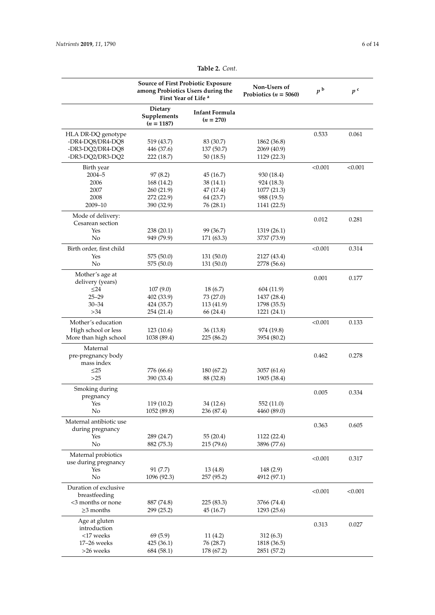|                                        | <b>Source of First Probiotic Exposure</b><br>among Probiotics Users during the<br>First Year of Life <sup>a</sup> |                               | Non-Users of<br>Probiotics ( $n = 5060$ ) | p <sup>b</sup> | p <sup>c</sup> |
|----------------------------------------|-------------------------------------------------------------------------------------------------------------------|-------------------------------|-------------------------------------------|----------------|----------------|
|                                        | Dietary<br>Supplements<br>$(n = 1187)$                                                                            | Infant Formula<br>$(n = 270)$ |                                           |                |                |
| HLA DR-DQ genotype                     |                                                                                                                   |                               |                                           | 0.533          | 0.061          |
| -DR4-DQ8/DR4-DQ8                       | 519 (43.7)                                                                                                        | 83 (30.7)                     | 1862 (36.8)                               |                |                |
| -DR3-DQ2/DR4-DQ8                       | 446 (37.6)                                                                                                        | 137 (50.7)                    | 2069 (40.9)                               |                |                |
| -DR3-DQ2/DR3-DQ2                       | 222 (18.7)                                                                                                        | 50(18.5)                      | 1129 (22.3)                               |                |                |
| Birth year                             |                                                                                                                   |                               |                                           | < 0.001        | < 0.001        |
| $2004 - 5$                             | 97(8.2)                                                                                                           | 45 (16.7)                     | 930 (18.4)                                |                |                |
| 2006                                   | 168 (14.2)                                                                                                        | 38 (14.1)                     | 924 (18.3)                                |                |                |
| 2007                                   | 260 (21.9)                                                                                                        | 47 (17.4)                     | 1077 (21.3)                               |                |                |
| 2008                                   | 272 (22.9)                                                                                                        | 64 (23.7)                     | 988 (19.5)                                |                |                |
| $2009 - 10$                            | 390 (32.9)                                                                                                        | 76 (28.1)                     | 1141 (22.5)                               |                |                |
| Mode of delivery:<br>Cesarean section  |                                                                                                                   |                               |                                           | 0.012          | 0.281          |
| Yes                                    | 238(20.1)                                                                                                         | 99 (36.7)                     | 1319 (26.1)                               |                |                |
| No                                     | 949 (79.9)                                                                                                        | 171 (63.3)                    | 3737 (73.9)                               |                |                |
|                                        |                                                                                                                   |                               |                                           |                |                |
| Birth order, first child               |                                                                                                                   |                               |                                           | < 0.001        | 0.314          |
| Yes<br>$\rm No$                        | 575 (50.0)                                                                                                        | 131 (50.0)                    | 2127 (43.4)                               |                |                |
|                                        | 575 (50.0)                                                                                                        | 131 (50.0)                    | 2778 (56.6)                               |                |                |
| Mother's age at                        |                                                                                                                   |                               |                                           | 0.001          | 0.177          |
| delivery (years)                       |                                                                                                                   |                               |                                           |                |                |
| $\leq$ 24                              | 107(9.0)                                                                                                          | 18(6.7)                       | 604 (11.9)                                |                |                |
| $25 - 29$                              | 402 (33.9)                                                                                                        | 73 (27.0)                     | 1437 (28.4)                               |                |                |
| $30 - 34$                              | 424 (35.7)                                                                                                        | 113 (41.9)                    | 1798 (35.5)                               |                |                |
| >34                                    | 254 (21.4)                                                                                                        | 66 (24.4)                     | 1221 (24.1)                               |                |                |
| Mother's education                     |                                                                                                                   |                               |                                           | < 0.001        | 0.133          |
| High school or less                    | 123(10.6)                                                                                                         | 36 (13.8)                     | 974 (19.8)                                |                |                |
| More than high school                  | 1038 (89.4)                                                                                                       | 225 (86.2)                    | 3954 (80.2)                               |                |                |
| Maternal                               |                                                                                                                   |                               |                                           |                |                |
| pre-pregnancy body                     |                                                                                                                   |                               |                                           | 0.462          | 0.278          |
| mass index                             |                                                                                                                   |                               |                                           |                |                |
| $\leq$ 25                              | 776 (66.6)                                                                                                        | 180 (67.2)                    | 3057 (61.6)                               |                |                |
| $>25$                                  | 390 (33.4)                                                                                                        | 88 (32.8)                     | 1905 (38.4)                               |                |                |
| Smoking during                         |                                                                                                                   |                               |                                           | 0.005          | 0.334          |
| pregnancy                              |                                                                                                                   |                               |                                           |                |                |
| Yes                                    | 119 (10.2)                                                                                                        | 34 (12.6)                     | 552 (11.0)                                |                |                |
| No                                     | 1052 (89.8)                                                                                                       | 236 (87.4)                    | 4460 (89.0)                               |                |                |
| Maternal antibiotic use                |                                                                                                                   |                               |                                           | 0.363          | 0.605          |
| during pregnancy                       |                                                                                                                   |                               |                                           |                |                |
| Yes                                    | 289 (24.7)                                                                                                        | 55(20.4)                      | 1122 (22.4)                               |                |                |
| No                                     | 882 (75.3)                                                                                                        | 215(79.6)                     | 3896 (77.6)                               |                |                |
| Maternal probiotics                    |                                                                                                                   |                               |                                           | < 0.001        | 0.317          |
| use during pregnancy                   |                                                                                                                   |                               |                                           |                |                |
| Yes                                    | 91(7.7)                                                                                                           | 13(4.8)                       | 148 (2.9)                                 |                |                |
| No                                     | 1096 (92.3)                                                                                                       | 257 (95.2)                    | 4912 (97.1)                               |                |                |
| Duration of exclusive<br>breastfeeding |                                                                                                                   |                               |                                           | < 0.001        | < 0.001        |
| <3 months or none                      | 887 (74.8)                                                                                                        | 225 (83.3)                    | 3766 (74.4)                               |                |                |
| $\geq$ 3 months                        | 299 (25.2)                                                                                                        | 45 (16.7)                     | 1293(25.6)                                |                |                |
| Age at gluten<br>introduction          |                                                                                                                   |                               |                                           | 0.313          | 0.027          |
| <17 weeks                              | 69(5.9)                                                                                                           | 11(4.2)                       | 312(6.3)                                  |                |                |
| 17-26 weeks                            | 425 (36.1)                                                                                                        | 76 (28.7)                     | 1818 (36.5)                               |                |                |
| >26 weeks                              | 684 (58.1)                                                                                                        | 178 (67.2)                    | 2851 (57.2)                               |                |                |

**Table 2.** *Cont.*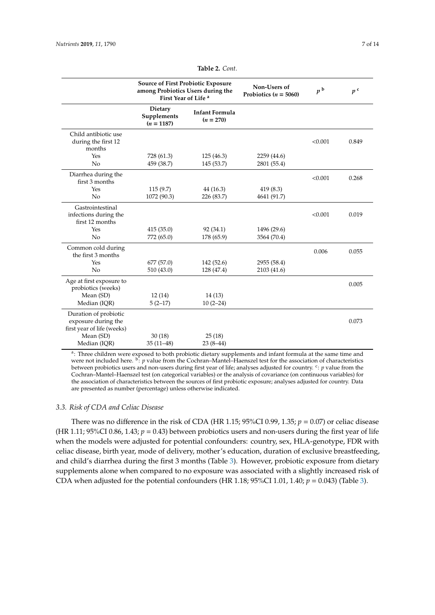<span id="page-6-0"></span>

|                                                                            | Source of First Probiotic Exposure<br>among Probiotics Users during the<br>First Year of Life <sup>a</sup> |                                      | Non-Users of<br>Probiotics ( $n = 5060$ ) | p <sup>b</sup> | p <sup>c</sup> |
|----------------------------------------------------------------------------|------------------------------------------------------------------------------------------------------------|--------------------------------------|-------------------------------------------|----------------|----------------|
|                                                                            | <b>Dietary</b><br>Supplements<br>$(n = 1187)$                                                              | <b>Infant Formula</b><br>$(n = 270)$ |                                           |                |                |
| Child antibiotic use<br>during the first 12<br>months                      |                                                                                                            |                                      |                                           | < 0.001        | 0.849          |
| Yes                                                                        | 728 (61.3)                                                                                                 | 125 (46.3)                           | 2259 (44.6)                               |                |                |
| No                                                                         | 459 (38.7)                                                                                                 | 145 (53.7)                           | 2801 (55.4)                               |                |                |
| Diarrhea during the<br>first 3 months                                      |                                                                                                            |                                      |                                           | < 0.001        | 0.268          |
| Yes                                                                        | 115(9.7)                                                                                                   | 44 (16.3)                            | 419(8.3)                                  |                |                |
| No                                                                         | 1072 (90.3)                                                                                                | 226 (83.7)                           | 4641 (91.7)                               |                |                |
| Gastrointestinal<br>infections during the<br>first 12 months               |                                                                                                            |                                      |                                           | < 0.001        | 0.019          |
| Yes                                                                        | 415 (35.0)                                                                                                 | 92(34.1)                             | 1496 (29.6)                               |                |                |
| No                                                                         | 772 (65.0)                                                                                                 | 178 (65.9)                           | 3564 (70.4)                               |                |                |
| Common cold during<br>the first 3 months                                   |                                                                                                            |                                      |                                           | 0.006          | 0.055          |
| Yes                                                                        | 677(57.0)                                                                                                  | 142 (52.6)                           | 2955 (58.4)                               |                |                |
| No                                                                         | 510(43.0)                                                                                                  | 128 (47.4)                           | 2103 (41.6)                               |                |                |
| Age at first exposure to<br>probiotics (weeks)                             |                                                                                                            |                                      |                                           |                | 0.005          |
| Mean (SD)                                                                  | 12(14)                                                                                                     | 14(13)                               |                                           |                |                |
| Median (IQR)                                                               | $5(2-17)$                                                                                                  | $10(2-24)$                           |                                           |                |                |
| Duration of probiotic<br>exposure during the<br>first year of life (weeks) |                                                                                                            |                                      |                                           |                | 0.073          |
| Mean (SD)                                                                  | 30(18)                                                                                                     | 25(18)                               |                                           |                |                |
| Median (IQR)                                                               | $35(11-48)$                                                                                                | $23(8-44)$                           |                                           |                |                |

**Table 2.** *Cont.*

<sup>a</sup>: Three children were exposed to both probiotic dietary supplements and infant formula at the same time and were not included here. <sup>b</sup>: *p* value from the Cochran–Mantel–Haenszel test for the association of characteristics between probiotics users and non-users during first year of life; analyses adjusted for country. <sup>c</sup>: *p* value from the Cochran–Mantel–Haenszel test (on categorical variables) or the analysis of covariance (on continuous variables) for the association of characteristics between the sources of first probiotic exposure; analyses adjusted for country. Data are presented as number (percentage) unless otherwise indicated.

#### *3.3. Risk of CDA and Celiac Disease*

There was no difference in the risk of CDA (HR 1.15;  $95\%$ CI 0.99, 1.35;  $p = 0.07$ ) or celiac disease (HR 1.11;  $95\%$ CI 0.86, 1.43;  $p = 0.43$ ) between probiotics users and non-users during the first year of life when the models were adjusted for potential confounders: country, sex, HLA-genotype, FDR with celiac disease, birth year, mode of delivery, mother's education, duration of exclusive breastfeeding, and child's diarrhea during the first 3 months (Table [3\)](#page-7-0). However, probiotic exposure from dietary supplements alone when compared to no exposure was associated with a slightly increased risk of CDA when adjusted for the potential confounders (HR 1.18;  $95\%$ CI 1.01, 1.40;  $p = 0.043$ ) (Table [3\)](#page-7-0).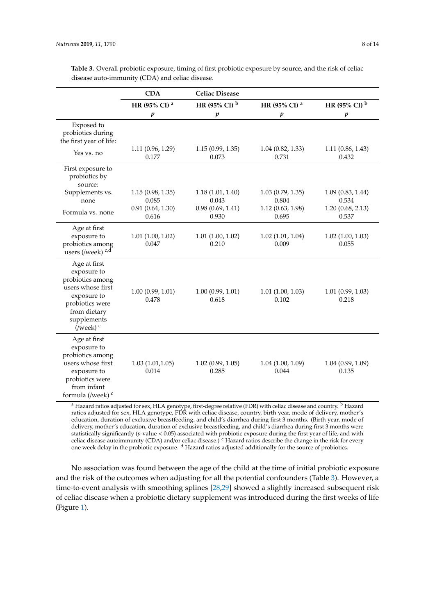|                                                                                                                                                                     | <b>CDA</b>                                             | <b>Celiac Disease</b>                                  |                                                        |                                                        |
|---------------------------------------------------------------------------------------------------------------------------------------------------------------------|--------------------------------------------------------|--------------------------------------------------------|--------------------------------------------------------|--------------------------------------------------------|
|                                                                                                                                                                     | HR (95% CI) <sup>a</sup>                               | HR (95% CI) b                                          | HR (95% CI) <sup>a</sup>                               | HR (95% CI) $^{\rm b}$                                 |
|                                                                                                                                                                     | $\boldsymbol{p}$                                       | $\boldsymbol{p}$                                       | $\boldsymbol{p}$                                       | $\boldsymbol{p}$                                       |
| Exposed to<br>probiotics during<br>the first year of life:<br>Yes vs. no                                                                                            | 1.11(0.96, 1.29)<br>0.177                              | 1.15(0.99, 1.35)<br>0.073                              | $1.04$ $(0.82, 1.33)$<br>0.731                         | 1.11(0.86, 1.43)<br>0.432                              |
| First exposure to<br>probiotics by<br>source:<br>Supplements vs.<br>none<br>Formula vs. none                                                                        | 1.15(0.98, 1.35)<br>0.085<br>0.91(0.64, 1.30)<br>0.616 | 1.18(1.01, 1.40)<br>0.043<br>0.98(0.69, 1.41)<br>0.930 | 1.03(0.79, 1.35)<br>0.804<br>1.12(0.63, 1.98)<br>0.695 | 1.09(0.83, 1.44)<br>0.534<br>1.20(0.68, 2.13)<br>0.537 |
| Age at first<br>exposure to<br>probiotics among<br>users (/week) c,d                                                                                                | 1.01(1.00, 1.02)<br>0.047                              | 1.01(1.00, 1.02)<br>0.210                              | 1.02(1.01, 1.04)<br>0.009                              | 1.02(1.00, 1.03)<br>0.055                              |
| Age at first<br>exposure to<br>probiotics among<br>users whose first<br>exposure to<br>probiotics were<br>from dietary<br>supplements<br>$($ /week $)$ <sup>c</sup> | 1.00(0.99, 1.01)<br>0.478                              | 1.00(0.99, 1.01)<br>0.618                              | $1.01$ $(1.00, 1.03)$<br>0.102                         | 1.01(0.99, 1.03)<br>0.218                              |
| Age at first<br>exposure to<br>probiotics among<br>users whose first<br>exposure to<br>probiotics were<br>from infant<br>formula (/week) <sup>c</sup>               | 1.03(1.01, 1.05)<br>0.014                              | 1.02(0.99, 1.05)<br>0.285                              | 1.04(1.00, 1.09)<br>0.044                              | 1.04(0.99, 1.09)<br>0.135                              |

<span id="page-7-0"></span>**Table 3.** Overall probiotic exposure, timing of first probiotic exposure by source, and the risk of celiac disease auto-immunity (CDA) and celiac disease.

<sup>a</sup> Hazard ratios adjusted for sex, HLA genotype, first-degree relative (FDR) with celiac disease and country. <sup>b</sup> Hazard ratios adjusted for sex, HLA genotype, FDR with celiac disease, country, birth year, mode of delivery, mother's education, duration of exclusive breastfeeding, and child's diarrhea during first 3 months. (Birth year, mode of delivery, mother's education, duration of exclusive breastfeeding, and child's diarrhea during first 3 months were statistically significantly (*p*-value < 0.05) associated with probiotic exposure during the first year of life, and with celiac disease autoimmunity (CDA) and/or celiac disease.) <sup>c</sup> Hazard ratios describe the change in the risk for every one week delay in the probiotic exposure. <sup>d</sup> Hazard ratios adjusted additionally for the source of probiotics.

No association was found between the age of the child at the time of initial probiotic exposure and the risk of the outcomes when adjusting for all the potential confounders (Table [3\)](#page-7-0). However, a time-to-event analysis with smoothing splines [\[28,](#page-12-14)[29\]](#page-12-15) showed a slightly increased subsequent risk of celiac disease when a probiotic dietary supplement was introduced during the first weeks of life (Figure [1\)](#page-8-0).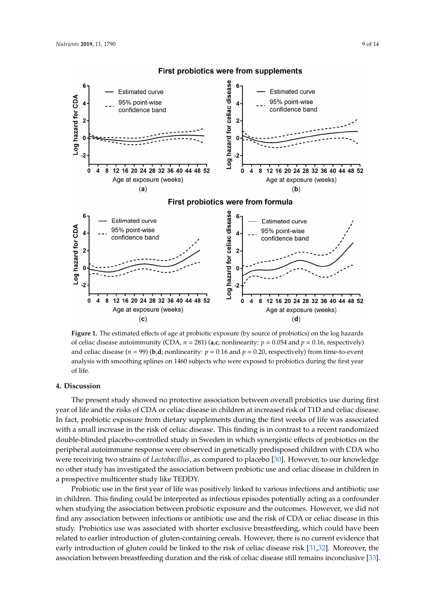<span id="page-8-0"></span>

#### First probiotics were from supplements

of celiac disease autoimmunity (CDA,  $n = 281$ ) (a,c; nonlinearity:  $p = 0.054$  and  $p = 0.16$ , respectively) and celiac disease ( $n = 99$ ) (**b**,d; nonlinearity:  $p = 0.16$  and  $p = 0.20$ , respectively) from time-to-event analysis with smoothing splines on 1460 subjects who were exposed to probiotics during the first year analysis with smoothing splitnes on 1460 subjects who were exposed to probe exposed to probe exposed to probe  $\mathbb{R}^n$ . **Figure 1.** The estimated effects of age at probiotic exposure (by source of probiotics) on the log hazards of life.

#### of life. **4. Discussion**

The present study showed no protective association between overall probiotics use during first year of life and the risks of CDA or celiac disease in children at increased risk of T1D and celiac disease. In fact, probiotic exposure from dietary supplements during the first weeks of life was associated with a small increase in the risk of celiac disease. This finding is in contrast to a recent randomized double-blinded placebo-controlled study in Sweden in which synergistic effects of probiotics on the peripheral autoimmune response were observed in genetically predisposed children with CDA who were receiving two strains of *Lactobacillus,* as compared to placebo [\[30\]](#page-12-16). However, to our knowledge no other study has investigated the association between probiotic use and celiac disease in children in a prospective multicenter study like TEDDY.

Probiotic use in the first year of life was positively linked to various infections and antibiotic use in children. This finding could be interpreted as infectious episodes potentially acting as a confounder when studying the association between probiotic exposure and the outcomes. However, we did not find any association between infections or antibiotic use and the risk of CDA or celiac disease in this study. Probiotics use was associated with shorter exclusive breastfeeding, which could have been related to earlier introduction of gluten-containing cereals. However, there is no current evidence that early introduction of gluten could be linked to the risk of celiac disease risk [\[31,](#page-12-17)[32\]](#page-12-18). Moreover, the association between breastfeeding duration and the risk of celiac disease still remains inconclusive [\[33\]](#page-12-19).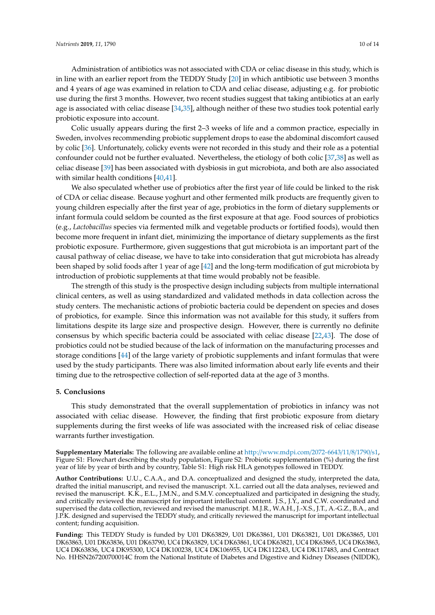Administration of antibiotics was not associated with CDA or celiac disease in this study, which is in line with an earlier report from the TEDDY Study [\[20\]](#page-12-6) in which antibiotic use between 3 months and 4 years of age was examined in relation to CDA and celiac disease, adjusting e.g. for probiotic use during the first 3 months. However, two recent studies suggest that taking antibiotics at an early age is associated with celiac disease [\[34,](#page-13-0)[35\]](#page-13-1), although neither of these two studies took potential early probiotic exposure into account.

Colic usually appears during the first 2–3 weeks of life and a common practice, especially in Sweden, involves recommending probiotic supplement drops to ease the abdominal discomfort caused by colic [\[36\]](#page-13-2). Unfortunately, colicky events were not recorded in this study and their role as a potential confounder could not be further evaluated. Nevertheless, the etiology of both colic [\[37,](#page-13-3)[38\]](#page-13-4) as well as celiac disease [\[39\]](#page-13-5) has been associated with dysbiosis in gut microbiota, and both are also associated with similar health conditions [\[40](#page-13-6)[,41\]](#page-13-7).

We also speculated whether use of probiotics after the first year of life could be linked to the risk of CDA or celiac disease. Because yoghurt and other fermented milk products are frequently given to young children especially after the first year of age, probiotics in the form of dietary supplements or infant formula could seldom be counted as the first exposure at that age. Food sources of probiotics (e.g., *Lactobacillus* species via fermented milk and vegetable products or fortified foods), would then become more frequent in infant diet, minimizing the importance of dietary supplements as the first probiotic exposure. Furthermore, given suggestions that gut microbiota is an important part of the causal pathway of celiac disease, we have to take into consideration that gut microbiota has already been shaped by solid foods after 1 year of age [\[42\]](#page-13-8) and the long-term modification of gut microbiota by introduction of probiotic supplements at that time would probably not be feasible.

The strength of this study is the prospective design including subjects from multiple international clinical centers, as well as using standardized and validated methods in data collection across the study centers. The mechanistic actions of probiotic bacteria could be dependent on species and doses of probiotics, for example. Since this information was not available for this study, it suffers from limitations despite its large size and prospective design. However, there is currently no definite consensus by which specific bacteria could be associated with celiac disease [\[22,](#page-12-8)[43\]](#page-13-9). The dose of probiotics could not be studied because of the lack of information on the manufacturing processes and storage conditions [\[44\]](#page-13-10) of the large variety of probiotic supplements and infant formulas that were used by the study participants. There was also limited information about early life events and their timing due to the retrospective collection of self-reported data at the age of 3 months.

#### **5. Conclusions**

This study demonstrated that the overall supplementation of probiotics in infancy was not associated with celiac disease. However, the finding that first probiotic exposure from dietary supplements during the first weeks of life was associated with the increased risk of celiac disease warrants further investigation.

**Supplementary Materials:** The following are available online at http://[www.mdpi.com](http://www.mdpi.com/2072-6643/11/8/1790/s1)/2072-6643/11/8/1790/s1, Figure S1: Flowchart describing the study population, Figure S2: Probiotic supplementation (%) during the first year of life by year of birth and by country, Table S1: High risk HLA genotypes followed in TEDDY.

**Author Contributions:** U.U., C.A.A., and D.A. conceptualized and designed the study, interpreted the data, drafted the initial manuscript, and revised the manuscript. X.L. carried out all the data analyses, reviewed and revised the manuscript. K.K., E.L., J.M.N., and S.M.V. conceptualized and participated in designing the study, and critically reviewed the manuscript for important intellectual content. J.S., J.Y., and C.W. coordinated and supervised the data collection, reviewed and revised the manuscript. M.J.R., W.A.H., J.-X.S., J.T., A.-G.Z., B.A., and J.P.K. designed and supervised the TEDDY study, and critically reviewed the manuscript for important intellectual content; funding acquisition.

**Funding:** This TEDDY Study is funded by U01 DK63829, U01 DK63861, U01 DK63821, U01 DK63865, U01 DK63863, U01 DK63836, U01 DK63790, UC4 DK63829, UC4 DK63861, UC4 DK63821, UC4 DK63865, UC4 DK63863, UC4 DK63836, UC4 DK95300, UC4 DK100238, UC4 DK106955, UC4 DK112243, UC4 DK117483, and Contract No. HHSN267200700014C from the National Institute of Diabetes and Digestive and Kidney Diseases (NIDDK),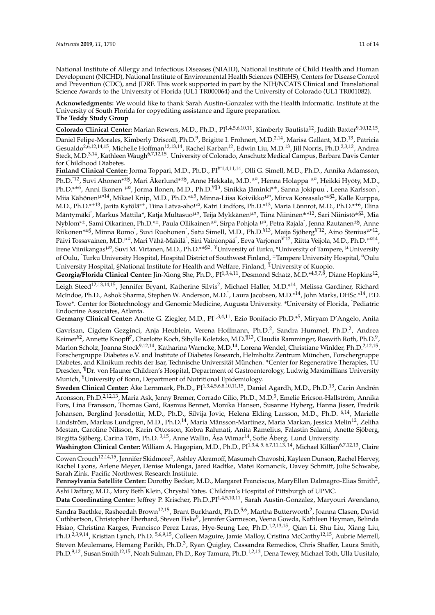National Institute of Allergy and Infectious Diseases (NIAID), National Institute of Child Health and Human Development (NICHD), National Institute of Environmental Health Sciences (NIEHS), Centers for Disease Control and Prevention (CDC), and JDRF. This work supported in part by the NIH/NCATS Clinical and Translational Science Awards to the University of Florida (UL1 TR000064) and the University of Colorado (UL1 TR001082).

**Acknowledgments:** We would like to thank Sarah Austin-Gonzalez with the Health Informatic. Institute at the University of South Florida for copyediting assistance and figure preparation. **The Teddy Study Group**

Colorado Clinical Center: Marian Rewers, M.D., Ph.D., PI<sup>1,4,5,6,10,11</sup>, Kimberly Bautista<sup>12</sup>, Judith Baxter<sup>9,10,12,15</sup>, Daniel Felipe-Morales, Kimberly Driscoll, Ph.D.<sup>9</sup>, Brigitte I. Frohnert, M.D.<sup>2,14</sup>, Marisa Gallant, M.D.<sup>13</sup>, Patricia Gesualdo<sup>2,6,12,14,15</sup>, Michelle Hoffman<sup>12,13,14</sup>, Rachel Karban<sup>12</sup>, Edwin Liu, M.D.<sup>13</sup>, Jill Norris, Ph.D.<sup>2,3,12</sup>, Andrea Steck, M.D.<sup>3,14</sup>, Kathleen Waugh<sup>6,7,12,15</sup>. University of Colorado, Anschutz Medical Campus, Barbara Davis Center for Childhood Diabetes.

**Finland Clinical Center:** Jorma Toppari, M.D., Ph.D., PI¥ˆ1,4,11,14, Olli G. Simell, M.D., Ph.D., Annika Adamsson, Ph.D.<sup>^12</sup>, Suvi Ahonen\*<sup>±§</sup>, Mari Åkerlund\*<sup>±§</sup>, Anne Hekkala, M.D.<sup>µ¤</sup>, Henna Holappa <sup>µ¤</sup>, Heikki Hyöty, M.D., Ph.D.\*<sup>±6</sup>, Anni Ikonen <sup>µ¤</sup>, Jorma Ilonen, M.D., Ph.D.<sup>¥¶3</sup>, Sinikka Jäminki\*<sup>±</sup>, Sanna Jokipuu<sup>^</sup>, Leena Karlsson<sup>^</sup>, Miia Kähönen<sup>µ¤14</sup>, Mikael Knip, M.D., Ph.D.\*<sup>±5</sup>, Minna-Liisa Koivikko<sup>µ¤</sup>, Mirva Koreasalo\*<sup>±§2</sup>, Kalle Kurppa, M.D., Ph.D.\*±<sup>13</sup>, Jarita Kytölä\*±, Tiina Latva-aho<sup>µ¤</sup>, Katri Lindfors, Ph.D.\*<sup>13</sup>, Maria Lönnrot, M.D., Ph.D.\*±<sup>6</sup>, Elina Mäntymäkiˆ, Markus Mattila\*, Katja Multasuo<sup>µ¤</sup>, Teija Mykkänen<sup>µ¤</sup>, Tiina Niininen±\*<sup>12</sup>, Sari Niinistö<sup>±§2</sup>, Mia Nyblom\*<sup>±</sup>, Sami Oikarinen, Ph.D.\*<sup>±</sup>, Paula Ollikainen<sup>µ¤</sup>, Sirpa Pohjola <sup>µ¤</sup>, Petra Rajala ̂, Jenna Rautanen<sup>±§</sup>, Anne Riikonen\*<sup>±§</sup>, Minna Romo<sup>^</sup>, Suvi Ruohonen^, Satu Simell, M.D., Ph.D.<sup>¥13</sup>, Maija Sjöberg<sup>¥°12</sup>, Aino Stenius<sup>µ¤12</sup>, Päivi Tossavainen, M.D.<sup>µ¤</sup>, Mari Vähä-Mäkilä ̂, Sini Vainionpää ̂, Eeva Varjonen<sup>¥~12</sup>, Riitta Veijola, M.D., Ph.D.<sup>µ¤14</sup>, Irene Viinikangas<sup>µ¤</sup>, Suvi M. Virtanen, M.D., Ph.D.\*<sup>±§2</sup>. <sup>¥</sup>University of Turku, \*University of Tampere, <sup>µ</sup>University of Oulu, <sup>ˆ</sup>Turku University Hospital, Hospital District of Southwest Finland, <sup>±</sup>Tampere University Hospital, ¤Oulu University Hospital, §National Institute for Health and Welfare, Finland, ¶University of Kuopio.

Georgia/Florida Clinical Center: Jin-Xiong She, Ph.D., PI<sup>1,3,4,11</sup>, Desmond Schatz, M.D.\*<sup>4,5,7,8</sup>, Diane Hopkins<sup>12</sup>,

Leigh Steed<sup>12,13,14,15</sup>, Jennifer Bryant, Katherine Silvis<sup>2</sup>, Michael Haller, M.D.\*<sup>14</sup>, Melissa Gardiner, Richard McIndoe, Ph.D., Ashok Sharma, Stephen W. Anderson, M.D. ̂, Laura Jacobsen, M.D.\*<sup>14</sup>, John Marks, DHSc.\*<sup>14</sup>, P.D. Towe\*. Center for Biotechnology and Genomic Medicine, Augusta University. \*University of Florida, <sup>ˆ</sup>Pediatric Endocrine Associates, Atlanta.

Germany Clinical Center: Anette G. Ziegler, M.D., PI<sup>1,3,4,11</sup>, Ezio Bonifacio Ph.D.<sup>\*5</sup>, Miryam D'Angelo, Anita

Gavrisan, Cigdem Gezginci, Anja Heublein, Verena Hoffmann, Ph.D.<sup>2</sup>, Sandra Hummel, Ph.D.<sup>2</sup>, Andrea Keimer $^{12}$ , Annette Knopff $^7$ , Charlotte Koch, Sibylle Koletzko, M.D. $^{113}$ , Claudia Ramminger, Roswith Roth, Ph.D. $^9$ , Marlon Scholz, Joanna Stock<sup>9,12,14</sup>, Katharina Warncke, M.D.<sup>14</sup>, Lorena Wendel, Christiane Winkler, Ph.D.<sup>2,12,15</sup>. Forschergruppe Diabetes e.V. and Institute of Diabetes Research, Helmholtz Zentrum München, Forschergruppe Diabetes, and Klinikum rechts der Isar, Technische Universität München. \*Center for Regenerative Therapies, TU Dresden, ¶Dr. von Hauner Children's Hospital, Department of Gastroenterology, Ludwig Maximillians University Munich, <sup>¥</sup>University of Bonn, Department of Nutritional Epidemiology.

**Sweden Clinical Center:** Åke Lernmark, Ph.D., PI1,3,4,5,6,8,10,11,15, Daniel Agardh, M.D., Ph.D.13, Carin Andrén Aronsson, Ph.D.<sup>2,12,13</sup>, Maria Ask, Jenny Bremer, Corrado Cilio, Ph.D., M.D.<sup>5</sup>, Emelie Ericson-Hallström, Annika Fors, Lina Fransson, Thomas Gard, Rasmus Bennet, Monika Hansen, Susanne Hyberg, Hanna Jisser, Fredrik Johansen, Berglind Jonsdottir, M.D., Ph.D., Silvija Jovic, Helena Elding Larsson, M.D., Ph.D. 6,14, Marielle Lindström, Markus Lundgren, M.D., Ph.D.<sup>14</sup>, Maria Månsson-Martinez, Maria Markan, Jessica Melin<sup>12</sup>, Zeliha Mestan, Caroline Nilsson, Karin Ottosson, Kobra Rahmati, Anita Ramelius, Falastin Salami, Anette Sjöberg, Birgitta Sjöberg, Carina Törn, Ph.D. <sup>3,15</sup>, Anne Wallin, Åsa Wimar<sup>14</sup>, Sofie Åberg. Lund University.

Washington Clinical Center: William A. Hagopian, M.D., Ph.D., PI<sup>1,3,4, 5, 6,7,11,13, 14</sup>, Michael Killian<sup>6,7,12,13</sup>, Claire

Cowen Crouch<sup>12,14,15</sup>, Jennifer Skidmore<sup>2</sup>, Ashley Akramoff, Masumeh Chavoshi, Kayleen Dunson, Rachel Hervey, Rachel Lyons, Arlene Meyer, Denise Mulenga, Jared Radtke, Matei Romancik, Davey Schmitt, Julie Schwabe, Sarah Zink. Pacific Northwest Research Institute.

Pennsylvania Satellite Center: Dorothy Becker, M.D., Margaret Franciscus, MaryEllen Dalmagro-Elias Smith<sup>2</sup>, Ashi Daftary, M.D., Mary Beth Klein, Chrystal Yates. Children's Hospital of Pittsburgh of UPMC.

**Data Coordinating Center:** Jeffrey P. Krischer, Ph.D.,PI1,4,5,10,11, Sarah Austin-Gonzalez, Maryouri Avendano,

Sandra Baethke, Rasheedah Brown<sup>12,15</sup>, Brant Burkhardt, Ph.D.<sup>5,6</sup>, Martha Butterworth<sup>2</sup>, Joanna Clasen, David Cuthbertson, Christopher Eberhard, Steven Fiske<sup>9</sup>, Jennifer Garmeson, Veena Gowda, Kathleen Heyman, Belinda Hsiao, Christina Karges, Francisco Perez Laras, Hye-Seung Lee, Ph.D.<sup>1,2,13,15</sup>, Qian Li, Shu Liu, Xiang Liu, Ph.D.<sup>2,3,9,14</sup>, Kristian Lynch, Ph.D. <sup>5,6,9,15</sup>, Colleen Maguire, Jamie Malloy, Cristina McCarthy<sup>12,15</sup>, Aubrie Merrell, Steven Meulemans, Hemang Parikh, Ph.D.<sup>3</sup>, Ryan Quigley, Cassandra Remedios, Chris Shaffer, Laura Smith, Ph.D.<sup>9,12</sup>, Susan Smith<sup>12,15</sup>, Noah Sulman, Ph.D., Roy Tamura, Ph.D.<sup>1,2,13</sup>, Dena Tewey, Michael Toth, Ulla Uusitalo,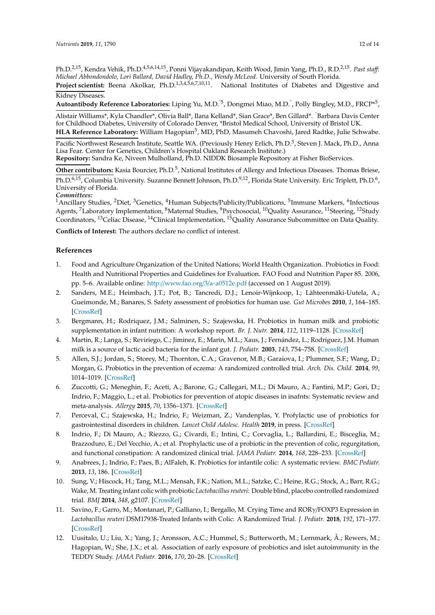Ph.D.<sup>2,15</sup>, Kendra Vehik, Ph.D.<sup>4,5,6,14,15</sup>, Ponni Vijayakandipan, Keith Wood, Jimin Yang, Ph.D., R.D.<sup>2,15</sup>. *Past staff*: *Michael Abbondondolo, Lori Ballard, David Hadley, Ph.D., Wendy McLeod.* University of South Florida.

**Project scientist:** Beena Akolkar, Ph.D.<sup>1,3,4,5,6,7,10,11</sup>. National Institutes of Diabetes and Digestive and Kidney Diseases.

**Autoantibody Reference Laboratories:** Liping Yu, M.D.ˆ5, Dongmei Miao, M.D.<sup>ˆ</sup> , Polly Bingley, M.D., FRCP\*<sup>5</sup> ,

Alistair Williams\*, Kyla Chandler\*, Olivia Ball\*, Ilana Kelland\*, Sian Grace\*, Ben Gillard\*. <sup>ˆ</sup>Barbara Davis Center for Childhood Diabetes, University of Colorado Denver, \*Bristol Medical School, University of Bristol UK. **HLA Reference Laboratory:** William Hagopian<sup>3</sup>, MD, PhD, Masumeh Chavoshi, Jared Radtke, Julie Schwabe.

Pacific Northwest Research Institute, Seattle WA. (Previously Henry Erlich, Ph.D.<sup>3</sup>, Steven J. Mack, Ph.D., Anna Lisa Fear. Center for Genetics, Children's Hospital Oakland Research Institute.) **Repository:** Sandra Ke, Niveen Mulholland, Ph.D. NIDDK Biosample Repository at Fisher BioServices.

Other contributors: Kasia Bourcier, Ph.D.<sup>5</sup>, National Institutes of Allergy and Infectious Diseases. Thomas Briese, Ph.D.<sup>6,15</sup>, Columbia University. Suzanne Bennett Johnson, Ph.D.<sup>9,12</sup>, Florida State University. Eric Triplett, Ph.D.<sup>6</sup>, University of Florida.

*Committees:*

<sup>1</sup> Ancillary Studies, <sup>2</sup>Diet, <sup>3</sup> Genetics, <sup>4</sup> Human Subjects/Publicity/Publications, <sup>5</sup> Immune Markers, <sup>6</sup> Infectious Agents, <sup>7</sup>Laboratory Implementation, <sup>8</sup>Maternal Studies, <sup>9</sup>Psychosocial, <sup>10</sup>Quality Assurance, <sup>11</sup>Steering, <sup>12</sup>Study Coordinators, <sup>13</sup>Celiac Disease, <sup>14</sup>Clinical Implementation, <sup>15</sup>Quality Assurance Subcommittee on Data Quality.

**Conflicts of Interest:** The authors declare no conflict of interest.

## **References**

- <span id="page-11-0"></span>1. Food and Agriculture Organization of the United Nations; World Health Organization. Probiotics in Food: Health and Nutritional Properties and Guidelines for Evaluation. FAO Food and Nutrition Paper 85. 2006, pp. 5–6. Available online: http://[www.fao.org](http://www.fao.org/3/a-a0512e.pdf)/3/a-a0512e.pdf (accessed on 1 August 2019).
- <span id="page-11-1"></span>2. Sanders, M.E.; Heimbach, J.T.; Pot, B.; Tancredi, D.J.; Lenoir-Wijnkoop, I.; Lähteenmäki-Uutela, A.; Gueimonde, M.; Banares, S. Safety assessment of probiotics for human use. *Gut Microbes* **2010**, *1*, 164–185. [\[CrossRef\]](http://dx.doi.org/10.4161/gmic.1.3.12127)
- <span id="page-11-2"></span>3. Bergmann, H.; Rodriquez, J.M.; Salminen, S.; Szajewska, H. Probiotics in human milk and probiotic supplementation in infant nutrition: A workshop report. *Br. J. Nutr.* **2014**, *112*, 1119–1128. [\[CrossRef\]](http://dx.doi.org/10.1017/S0007114514001949)
- <span id="page-11-3"></span>4. Martin, R.; Langa, S.; Reviriego, C.; Jiminez, E.; Marin, M.L.; Xaus, J.; Fernández, L.; Rodríguez, J.M. Human milk is a source of lactic acid bacteria for the infant gut. *J. Pediatr.* **2003**, *143*, 754–758. [\[CrossRef\]](http://dx.doi.org/10.1016/j.jpeds.2003.09.028)
- <span id="page-11-4"></span>5. Allen, S.J.; Jordan, S.; Storey, M.; Thornton, C.A.; Gravenor, M.B.; Garaiova, I.; Plummer, S.F.; Wang, D.; Morgan, G. Probiotics in the prevention of eczema: A randomized controlled trial. *Arch. Dis. Child.* **2014**, *99*, 1014–1019. [\[CrossRef\]](http://dx.doi.org/10.1136/archdischild-2013-305799)
- <span id="page-11-5"></span>6. Zuccotti, G.; Meneghin, F.; Aceti, A.; Barone, G.; Callegari, M.L.; Di Mauro, A.; Fantini, M.P.; Gori, D.; Indrio, F.; Maggio, L.; et al. Probiotics for prevention of atopic diseases in inafnts: Systematic review and meta-analysis. *Allergy* **2015**, *70*, 1356–1371. [\[CrossRef\]](http://dx.doi.org/10.1111/all.12700)
- <span id="page-11-6"></span>7. Perceval, C.; Szajewska, H.; Indrio, F.; Weizman, Z.; Vandenplas, Y. Profylactic use of probiotics for gastrointestinal disorders in children. *Lancet Child Adolesc. Health* **2019**, in press. [\[CrossRef\]](http://dx.doi.org/10.1016/S2352-4642(19)30182-8)
- <span id="page-11-7"></span>8. Indrio, F.; Di Mauro, A.; Riezzo, G.; Civardi, E.; Intini, C.; Corvaglia, L.; Ballardini, E.; Bisceglia, M.; Brazzoduro, E.; Del Vecchio, A.; et al. Prophylactic use of a probiotic in the prevention of colic, regurgitation, and functional constipation: A randomized clinical trial. *JAMA Pediatr.* **2014**, *168*, 228–233. [\[CrossRef\]](http://dx.doi.org/10.1001/jamapediatrics.2013.4367)
- 9. Anabrees, J.; Indrio, F.; Paes, B.; AlFaleh, K. Probiotics for infantile colic: A systematic review. *BMC Pediatr.* **2013**, *13*, 186. [\[CrossRef\]](http://dx.doi.org/10.1186/1471-2431-13-186)
- 10. Sung, V.; Hiscock, H.; Tang, M.L.; Mensah, F.K.; Nation, M.L.; Satzke, C.; Heine, R.G.; Stock, A.; Barr, R.G.; Wake, M. Treating infant colic with probiotic *Lactobacillus reuteri*: Double blind, placebo controlled randomized trial. *BMJ* **2014**, *348*, g2107. [\[CrossRef\]](http://dx.doi.org/10.1136/bmj.g2107)
- <span id="page-11-8"></span>11. Savino, F.; Garro, M.; Montanari, P.; Galliano, I.; Bergallo, M. Crying Time and RORγ/FOXP3 Expression in *Lactobacillus reuteri* DSM17938-Treated Infants with Colic: A Randomized Trial. *J. Pediatr.* **2018**, *192*, 171–177. [\[CrossRef\]](http://dx.doi.org/10.1016/j.jpeds.2017.08.062)
- <span id="page-11-9"></span>12. Uusitalo, U.; Liu, X.; Yang, J.; Aronsson, A.C.; Hummel, S.; Butterworth, M.; Lernmark, Å.; Rewers, M.; Hagopian, W.; She, J.X.; et al. Association of early exposure of probiotics and islet autoimmunity in the TEDDY Study. *JAMA Pediatr.* **2016**, *170*, 20–28. [\[CrossRef\]](http://dx.doi.org/10.1001/jamapediatrics.2015.2757)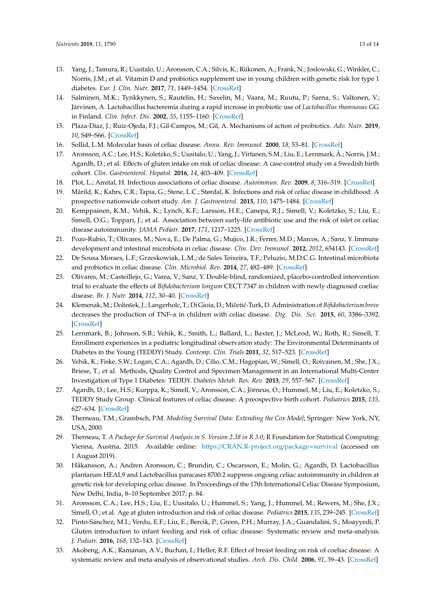- <span id="page-12-0"></span>13. Yang, J.; Tamura, R.; Uusitalo, U.; Aronsson, C.A.; Silvis, K.; Riikonen, A.; Frank, N.; Joslowski, G.; Winkler, C.; Norris, J.M.; et al. Vitamin D and probiotics supplement use in young children with genetic risk for type 1 diabetes. *Eur. J. Clin. Nutr.* **2017**, *71*, 1449–1454. [\[CrossRef\]](http://dx.doi.org/10.1038/ejcn.2017.140)
- <span id="page-12-1"></span>14. Salminen, M.K.; Tynkkynen, S.; Rautelin, H.; Saxelin, M.; Vaara, M.; Ruutu, P.; Sarna, S.; Valtonen, V.; Järvinen, A. Lactobacillus bacteremia during a rapid increase in probiotic use of *Lactobacillus rhamnosus* GG in Finland. *Clin. Infect. Dis.* **2002**, *35*, 1155–1160. [\[CrossRef\]](http://dx.doi.org/10.1086/342912)
- <span id="page-12-2"></span>15. Plaza-Diaz, J.; Ruiz-Ojeda, F.J.; Gil-Campos, M.; Gil, A. Mechanisms of action of probiotics. *Adv. Nutr.* **2019**, *10*, S49–S66. [\[CrossRef\]](http://dx.doi.org/10.1093/advances/nmy063)
- <span id="page-12-3"></span>16. Sollid, L.M. Molecular basis of celiac disease. *Annu. Rev. Immunol.* **2000**, *18*, 53–81. [\[CrossRef\]](http://dx.doi.org/10.1146/annurev.immunol.18.1.53)
- <span id="page-12-4"></span>17. Aronsson, A.C.; Lee, H.S.; Koletzko, S.; Uusitalo, U.; Yang, J.; Virtanen, S.M.; Liu, E.; Lernmark, Å.; Norris, J.M.; Agardh, D.; et al. Effects of gluten intake on risk of celiac disease: A case-control study on a Swedish birth cohort. *Clin. Gastroenterol. Hepatol.* **2016**, *14*, 403–409. [\[CrossRef\]](http://dx.doi.org/10.1016/j.cgh.2015.09.030)
- <span id="page-12-5"></span>18. Plot, L.; Amital, H. Infectious associations of celiac disease. *Autoimmun. Rev.* **2009**, *8*, 316–319. [\[CrossRef\]](http://dx.doi.org/10.1016/j.autrev.2008.10.001)
- 19. Mårild, K.; Kahrs, C.R.; Tapia, G.; Stene, L.C.; Størdal, K. Infections and risk of celiac disease in childhood: A prospective nationwide cohort study. *Am. J. Gastroenterol.* **2015**, *110*, 1475–1484. [\[CrossRef\]](http://dx.doi.org/10.1038/ajg.2015.287)
- <span id="page-12-6"></span>20. Kemppainen, K.M.; Vehik, K.; Lynch, K.F.; Larsson, H.E.; Canepa, R.J.; Simell, V.; Koletzko, S.; Liu, E.; Simell, O.G.; Toppari, J.; et al. Association between early-life antibiotic use and the risk of islet or celiac disease autoimmunity. *JAMA Pediatr.* **2017**, *171*, 1217–1225. [\[CrossRef\]](http://dx.doi.org/10.1001/jamapediatrics.2017.2905)
- <span id="page-12-7"></span>21. Pozo-Rubio, T.; Olivares, M.; Nova, E.; De Palma, G.; Mujico, J.R.; Ferrer, M.D.; Marcos, A.; Sanz, Y. Immune development and intestinal microbiota in celiac disease. *Clin. Dev. Immunol.* **2012**, *2012*, 654143. [\[CrossRef\]](http://dx.doi.org/10.1155/2012/654143)
- <span id="page-12-8"></span>22. De Sousa Moraes, L.F.; Grzeskowiak, L.M.; de Sales Teixeira, T.F.; Peluzio, M.D.C.G. Intestinal microbiota and probiotics in celiac disease. *Clin. Microbiol. Rev.* **2014**, *27*, 482–489. [\[CrossRef\]](http://dx.doi.org/10.1128/CMR.00106-13)
- <span id="page-12-9"></span>23. Olivares, M.; Casteillejo, G.; Varea, V.; Sanz, Y. Double-blind, randomized, placebo-controlled intervention trial to evaluate the effects of *Bifidobacterium longum* CECT 7347 in children with newly diagnosed coeliac disease. *Br. J. Nutr.* **2014**, *112*, 30–40. [\[CrossRef\]](http://dx.doi.org/10.1017/S0007114514000609)
- <span id="page-12-10"></span>24. Klemenak,M.; Dolinšek, J.; Langerholc, T.; Di Gioia, D.; Miˇceti´c-Turk, D. Administration of *Bifidobacterium breve* decreases the production of TNF-α in children with celiac disease. *Dig. Dis. Sci.* **2015**, *60*, 3386–3392. [\[CrossRef\]](http://dx.doi.org/10.1007/s10620-015-3769-7)
- <span id="page-12-11"></span>25. Lernmark, B.; Johnson, S.B.; Vehik, K.; Smith, L.; Ballard, L.; Baxter, J.; McLeod, W.; Roth, R.; Simell, T. Enrollment experiences in a pediatric longitudinal observation study: The Environmental Determinants of Diabetes in the Young (TEDDY) Study. *Contemp. Clin. Trials* **2011**, *32*, 517–523. [\[CrossRef\]](http://dx.doi.org/10.1016/j.cct.2011.03.009)
- <span id="page-12-12"></span>26. Vehik, K.; Fiske, S.W.; Logan, C.A.; Agardh, D.; Cilio, C.M.; Hagopian, W.; Simell, O.; Roivainen, M.; She, J.X.; Briese, T.; et al. Methods, Quality Control and Specimen Management in an International Multi-Center Investigation of Type 1 Diabetes: TEDDY. *Diabetes Metab. Res. Rev.* **2013**, *29*, 557–567. [\[CrossRef\]](http://dx.doi.org/10.1002/dmrr.2427)
- <span id="page-12-13"></span>27. Agardh, D.; Lee, H.S.; Kurppa, K.; Simell, V.; Aronsson, C.A.; Jörneus, O.; Hummel, M.; Liu, E.; Koletzko, S.; TEDDY Study Group. Clinical features of celiac disease: A preospective birth cohort. *Pediatrics* **2015**, *135*, 627–634. [\[CrossRef\]](http://dx.doi.org/10.1542/peds.2014-3675)
- <span id="page-12-14"></span>28. Therneau, T.M.; Grambsch, P.M. *Modeling Survival Data: Extending the Cox Model*; Springer: New York, NY, USA, 2000.
- <span id="page-12-15"></span>29. Therneau, T. *A Package for Survival Analysis in S. Version 2.38 in R 3.0*; R Foundation for Statistical Computing: Vienna, Austria, 2015. Available online: https://[CRAN.R-project.org](https://CRAN.R-project.org/package=survival)/package=survival (accessed on 1 August 2019).
- <span id="page-12-16"></span>30. Håkansson, A.; Andren Aronsson, C.; Brundin, C.; Oscarsson, E.; Molin, G.; Agardh, D. Lactobacillus plantarum HEAL9 and Lactobacillus paracasei 8700:2 suppress ongoing celiac autoimmunity in children at genetic risk for developing celiac disease. In Proceedings of the 17th International Celiac Disease Symposium, New Delhi, India, 8–10 September 2017; p. 84.
- <span id="page-12-17"></span>31. Aronsson, C.A.; Lee, H.S.; Liu, E.; Uusitalo, U.; Hummel, S.; Yang, J.; Hummel, M.; Rewers, M.; She, J.X.; Simell, O.; et al. Age at gluten introduction and risk of celiac disease. *Pediatrics* **2015**, *135*, 239–245. [\[CrossRef\]](http://dx.doi.org/10.1542/peds.2014-1787)
- <span id="page-12-18"></span>32. Pinto-Sánchez, M.I.; Verdu, E.F.; Liu, E.; Bercik, P.; Green, P.H.; Murray, J.A.; Guandalini, S.; Moayyedi, P. Gluten introduction to infant feeding and risk of celiac disease: Systematic review and meta-analysis. *J. Pediatr.* **2016**, *168*, 132–143. [\[CrossRef\]](http://dx.doi.org/10.1016/j.jpeds.2015.09.032)
- <span id="page-12-19"></span>33. Akobeng, A.K.; Ramanan, A.V.; Buchan, I.; Heller, R.F. Effect of breast feeding on risk of coeliac disease: A systematic review and meta-analysis of observational studies. *Arch. Dis. Child.* **2006**, *91*, 39–43. [\[CrossRef\]](http://dx.doi.org/10.1136/adc.2005.082016)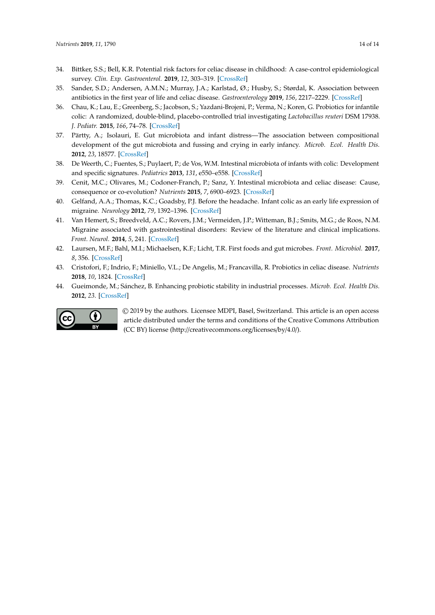- <span id="page-13-0"></span>34. Bittker, S.S.; Bell, K.R. Potential risk factors for celiac disease in childhood: A case-control epidemiological survey. *Clin. Exp. Gastroenterol.* **2019**, *12*, 303–319. [\[CrossRef\]](http://dx.doi.org/10.2147/CEG.S210060)
- <span id="page-13-1"></span>35. Sander, S.D.; Andersen, A.M.N.; Murray, J.A.; Karlstad, Ø.; Husby, S.; Størdal, K. Association between antibiotics in the first year of life and celiac disease. *Gastroenterology* **2019**, *156*, 2217–2229. [\[CrossRef\]](http://dx.doi.org/10.1053/j.gastro.2019.02.039)
- <span id="page-13-2"></span>36. Chau, K.; Lau, E.; Greenberg, S.; Jacobson, S.; Yazdani-Brojeni, P.; Verma, N.; Koren, G. Probiotics for infantile colic: A randomized, double-blind, placebo-controlled trial investigating *Lactobacillus reuteri* DSM 17938. *J. Pediatr.* **2015**, *166*, 74–78. [\[CrossRef\]](http://dx.doi.org/10.1016/j.jpeds.2014.09.020)
- <span id="page-13-3"></span>37. Pärtty, A.; Isolauri, E. Gut microbiota and infant distress—The association between compositional development of the gut microbiota and fussing and crying in early infancy. *Microb. Ecol. Health Dis.* **2012**, *23*, 18577. [\[CrossRef\]](http://dx.doi.org/10.3402/mehd.v23i0.18577)
- <span id="page-13-4"></span>38. De Weerth, C.; Fuentes, S.; Puylaert, P.; de Vos, W.M. Intestinal microbiota of infants with colic: Development and specific signatures. *Pediatrics* **2013**, *131*, e550–e558. [\[CrossRef\]](http://dx.doi.org/10.1542/peds.2012-1449)
- <span id="page-13-5"></span>39. Cenit, M.C.; Olivares, M.; Codoner-Franch, P.; Sanz, Y. Intestinal microbiota and celiac disease: Cause, consequence or co-evolution? *Nutrients* **2015**, *7*, 6900–6923. [\[CrossRef\]](http://dx.doi.org/10.3390/nu7085314)
- <span id="page-13-6"></span>40. Gelfand, A.A.; Thomas, K.C.; Goadsby, P.J. Before the headache. Infant colic as an early life expression of migraine. *Neurology* **2012**, *79*, 1392–1396. [\[CrossRef\]](http://dx.doi.org/10.1212/WNL.0b013e31826c1b7b)
- <span id="page-13-7"></span>41. Van Hemert, S.; Breedveld, A.C.; Rovers, J.M.; Vermeiden, J.P.; Witteman, B.J.; Smits, M.G.; de Roos, N.M. Migraine associated with gastrointestinal disorders: Review of the literature and clinical implications. *Front. Neurol.* **2014**, *5*, 241. [\[CrossRef\]](http://dx.doi.org/10.3389/fneur.2014.00241)
- <span id="page-13-8"></span>42. Laursen, M.F.; Bahl, M.I.; Michaelsen, K.F.; Licht, T.R. First foods and gut microbes. *Front. Microbiol.* **2017**, *8*, 356. [\[CrossRef\]](http://dx.doi.org/10.3389/fmicb.2017.00356)
- <span id="page-13-9"></span>43. Cristofori, F.; Indrio, F.; Miniello, V.L.; De Angelis, M.; Francavilla, R. Probiotics in celiac disease. *Nutrients* **2018**, *10*, 1824. [\[CrossRef\]](http://dx.doi.org/10.3390/nu10121824)
- <span id="page-13-10"></span>44. Gueimonde, M.; Sánchez, B. Enhancing probiotic stability in industrial processes. *Microb. Ecol. Health Dis.* **2012**, *23*. [\[CrossRef\]](http://dx.doi.org/10.3402/mehd.v23i0.18562)



© 2019 by the authors. Licensee MDPI, Basel, Switzerland. This article is an open access article distributed under the terms and conditions of the Creative Commons Attribution (CC BY) license (http://[creativecommons.org](http://creativecommons.org/licenses/by/4.0/.)/licenses/by/4.0/).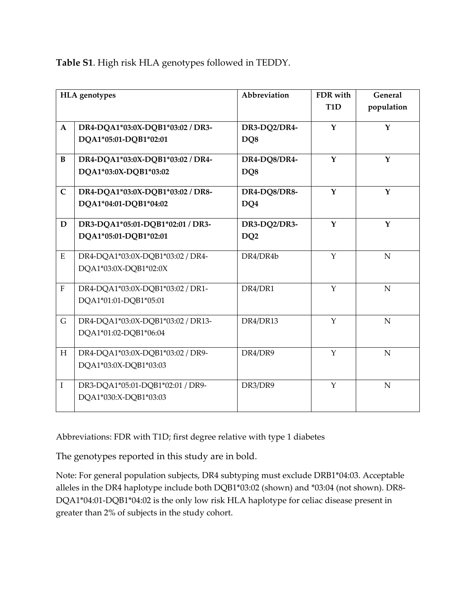**Table S1**. High risk HLA genotypes followed in TEDDY.

| <b>HLA</b> genotypes |                                                            | Abbreviation                    | FDR with<br>T <sub>1</sub> D | <b>General</b><br>population |
|----------------------|------------------------------------------------------------|---------------------------------|------------------------------|------------------------------|
| $\mathbf{A}$         | DR4-DQA1*03:0X-DQB1*03:02 / DR3-<br>DQA1*05:01-DQB1*02:01  | DR3-DQ2/DR4-<br>DO <sub>8</sub> | Y                            | Y                            |
| B                    | DR4-DQA1*03:0X-DQB1*03:02 / DR4-<br>DQA1*03:0X-DQB1*03:02  | DR4-DQ8/DR4-<br>DO <sub>8</sub> | Y                            | Y                            |
| $\mathbf C$          | DR4-DQA1*03:0X-DQB1*03:02 / DR8-<br>DQA1*04:01-DQB1*04:02  | DR4-DQ8/DR8-<br>DQ4             | $\mathbf{Y}$                 | $\mathbf Y$                  |
| $\mathbf D$          | DR3-DQA1*05:01-DQB1*02:01 / DR3-<br>DQA1*05:01-DQB1*02:01  | DR3-DQ2/DR3-<br>DQ <sub>2</sub> | $\mathbf{Y}$                 | Y                            |
| ${\bf E}$            | DR4-DQA1*03:0X-DQB1*03:02 / DR4-<br>DQA1*03:0X-DQB1*02:0X  | DR4/DR4b                        | $\mathbf{Y}$                 | $\mathbf N$                  |
| $\mathbf F$          | DR4-DQA1*03:0X-DQB1*03:02 / DR1-<br>DQA1*01:01-DQB1*05:01  | DR4/DR1                         | $\mathbf{Y}$                 | $\mathbf N$                  |
| $\mathsf G$          | DR4-DQA1*03:0X-DQB1*03:02 / DR13-<br>DQA1*01:02-DQB1*06:04 | DR4/DR13                        | $\mathbf{Y}$                 | $\mathbf N$                  |
| H                    | DR4-DQA1*03:0X-DQB1*03:02 / DR9-<br>DQA1*03:0X-DQB1*03:03  | DR4/DR9                         | $\mathbf Y$                  | N                            |
| $\mathbf I$          | DR3-DQA1*05:01-DQB1*02:01 / DR9-<br>DQA1*030:X-DQB1*03:03  | DR3/DR9                         | Y                            | $\mathbf N$                  |

Abbreviations: FDR with T1D; first degree relative with type 1 diabetes

The genotypes reported in this study are in bold.

Note: For general population subjects, DR4 subtyping must exclude DRB1\*04:03. Acceptable alleles in the DR4 haplotype include both DQB1\*03:02 (shown) and \*03:04 (not shown). DR8‐ DQA1\*04:01‐DQB1\*04:02 is the only low risk HLA haplotype for celiac disease present in greater than 2% of subjects in the study cohort.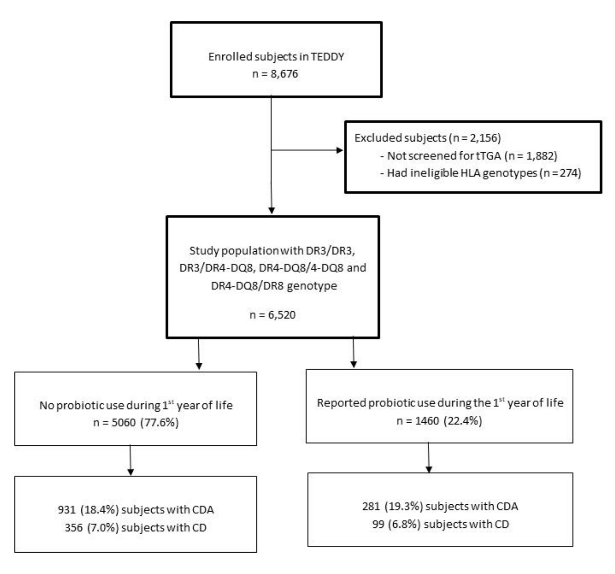